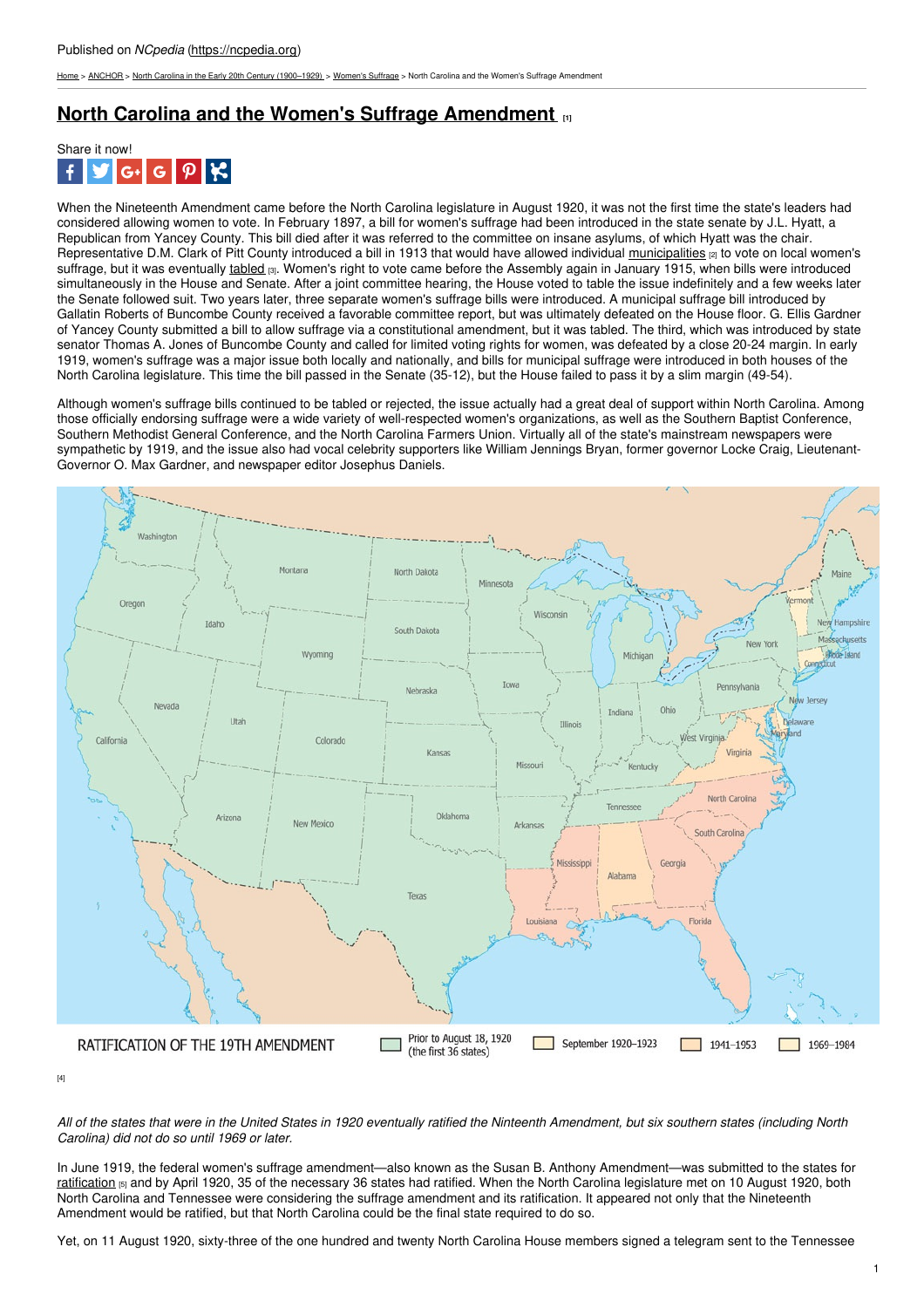[Home](https://ncpedia.org/) > [ANCHOR](https://ncpedia.org/anchor/anchor) > North Carolina in the Early 20th Century [\(1900–1929\)](https://ncpedia.org/anchor/north-carolina-early-20th) > [Women's](https://ncpedia.org/anchor/womens-suffrage) Suffrage > North Carolina and the Women's Suffrage Amendment

## **North Carolina and the Women's Suffrage [Amendment](https://ncpedia.org/anchor/north-carolina-and-womens) [1]**



When the Nineteenth Amendment came before the North Carolina legislature in August 1920, it was not the first time the state's leaders had considered allowing women to vote. In February 1897, a bill for women's suffrage had been introduced in the state senate by J.L. Hyatt, a Republican from Yancey County. This bill died after it was referred to the committee on insane asylums, of which Hyatt was the chair. Representative D.M. Clark of Pitt County introduced a bill in 1913 that would have allowed individual [municipalities](https://ncpedia.org/glossary/municipality) [2] to vote on local women's suffrage, but it was eventually [tabled](https://ncpedia.org/glossary/tabled) [3]. Women's right to vote came before the Assembly again in January 1915, when bills were introduced simultaneously in the House and Senate. After a joint committee hearing, the House voted to table the issue indefinitely and a few weeks later the Senate followed suit. Two years later, three separate women's suffrage bills were introduced. A municipal suffrage bill introduced by Gallatin Roberts of Buncombe County received a favorable committee report, but was ultimately defeated on the House floor. G. Ellis Gardner of Yancey County submitted a bill to allow suffrage via a constitutional amendment, but it was tabled. The third, which was introduced by state senator Thomas A. Jones of Buncombe County and called for limited voting rights for women, was defeated by a close 20-24 margin. In early 1919, women's suffrage was a major issue both [locally](http://www.social9.com) and nationally, and bills for municipal suffrage were introduced in both houses of the North Carolina legislature. This time the bill passed in the Senate (35-12), but the House failed to pass it by a slim margin (49-54).

Although women's suffrage bills continued to be tabled or rejected, the issue actually had a great deal of support within North Carolina. Among those officially endorsing suffrage were a wide variety of well-respected women's organizations, as well as the Southern Baptist Conference, Southern Methodist General Conference, and the North Carolina Farmers Union. Virtually all of the state's mainstream newspapers were sympathetic by 1919, and the issue also had vocal celebrity supporters like William Jennings Bryan, former governor Locke Craig, Lieutenant-Governor O. Max Gardner, and newspaper editor Josephus Daniels.



[4]

All of the states that were in the United States in 1920 eventually ratified the Ninteenth Amendment, but six southern states (including North *Carolina) did not do so until 1969 or later.*

In June 1919, the federal women's suffrage amendment—also known as the Susan B. Anthony Amendment—was submitted to the states for [ratification](https://ncpedia.org/glossary/ratification) [5] and by April 1920, 35 of the necessary 36 states had ratified. When the North Carolina legislature met on 10 August 1920, both North Carolina and Tennessee were considering the suffrage amendment and its ratification. It appeared not only that the Nineteenth Amendment would be ratified, but that North Carolina could be the final state required to do so.

Yet, on 11 August 1920, sixty-three of the one hundred and twenty North Carolina House members signed a telegram sent to the Tennessee